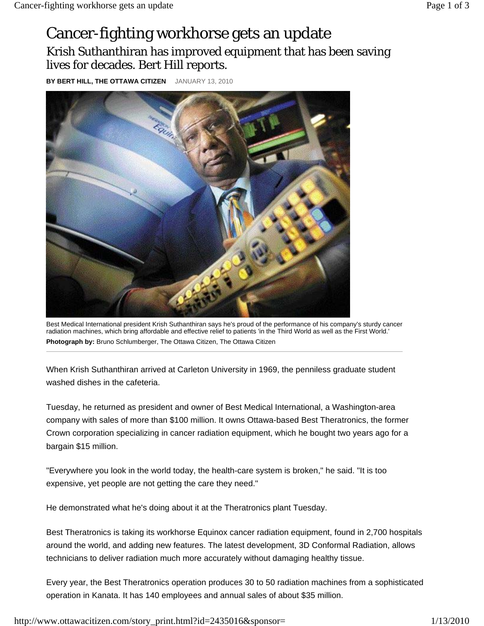## Cancer-fighting workhorse gets an update Krish Suthanthiran has improved equipment that has been saving lives for decades. Bert Hill reports.

**BY BERT HILL, THE OTTAWA CITIZEN** JANUARY 13, 2010



Best Medical International president Krish Suthanthiran says he's proud of the performance of his company's sturdy cancer radiation machines, which bring affordable and effective relief to patients 'in the Third World as well as the First World.' **Photograph by:** Bruno Schlumberger, The Ottawa Citizen, The Ottawa Citizen

When Krish Suthanthiran arrived at Carleton University in 1969, the penniless graduate student washed dishes in the cafeteria.

Tuesday, he returned as president and owner of Best Medical International, a Washington-area company with sales of more than \$100 million. It owns Ottawa-based Best Theratronics, the former Crown corporation specializing in cancer radiation equipment, which he bought two years ago for a bargain \$15 million.

"Everywhere you look in the world today, the health-care system is broken," he said. "It is too expensive, yet people are not getting the care they need."

He demonstrated what he's doing about it at the Theratronics plant Tuesday.

Best Theratronics is taking its workhorse Equinox cancer radiation equipment, found in 2,700 hospitals around the world, and adding new features. The latest development, 3D Conformal Radiation, allows technicians to deliver radiation much more accurately without damaging healthy tissue.

Every year, the Best Theratronics operation produces 30 to 50 radiation machines from a sophisticated operation in Kanata. It has 140 employees and annual sales of about \$35 million.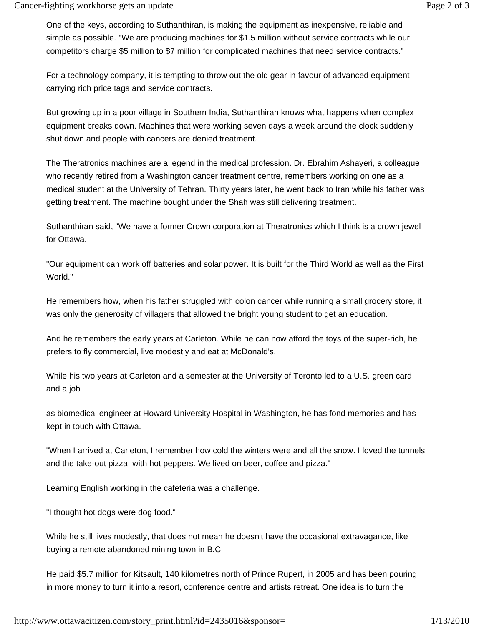One of the keys, according to Suthanthiran, is making the equipment as inexpensive, reliable and simple as possible. "We are producing machines for \$1.5 million without service contracts while our competitors charge \$5 million to \$7 million for complicated machines that need service contracts."

For a technology company, it is tempting to throw out the old gear in favour of advanced equipment carrying rich price tags and service contracts.

But growing up in a poor village in Southern India, Suthanthiran knows what happens when complex equipment breaks down. Machines that were working seven days a week around the clock suddenly shut down and people with cancers are denied treatment.

The Theratronics machines are a legend in the medical profession. Dr. Ebrahim Ashayeri, a colleague who recently retired from a Washington cancer treatment centre, remembers working on one as a medical student at the University of Tehran. Thirty years later, he went back to Iran while his father was getting treatment. The machine bought under the Shah was still delivering treatment.

Suthanthiran said, "We have a former Crown corporation at Theratronics which I think is a crown jewel for Ottawa.

"Our equipment can work off batteries and solar power. It is built for the Third World as well as the First World."

He remembers how, when his father struggled with colon cancer while running a small grocery store, it was only the generosity of villagers that allowed the bright young student to get an education.

And he remembers the early years at Carleton. While he can now afford the toys of the super-rich, he prefers to fly commercial, live modestly and eat at McDonald's.

While his two years at Carleton and a semester at the University of Toronto led to a U.S. green card and a job

as biomedical engineer at Howard University Hospital in Washington, he has fond memories and has kept in touch with Ottawa.

"When I arrived at Carleton, I remember how cold the winters were and all the snow. I loved the tunnels and the take-out pizza, with hot peppers. We lived on beer, coffee and pizza."

Learning English working in the cafeteria was a challenge.

"I thought hot dogs were dog food."

While he still lives modestly, that does not mean he doesn't have the occasional extravagance, like buying a remote abandoned mining town in B.C.

He paid \$5.7 million for Kitsault, 140 kilometres north of Prince Rupert, in 2005 and has been pouring in more money to turn it into a resort, conference centre and artists retreat. One idea is to turn the

http://www.ottawacitizen.com/story\_print.html?id=2435016&sponsor= 1/13/2010